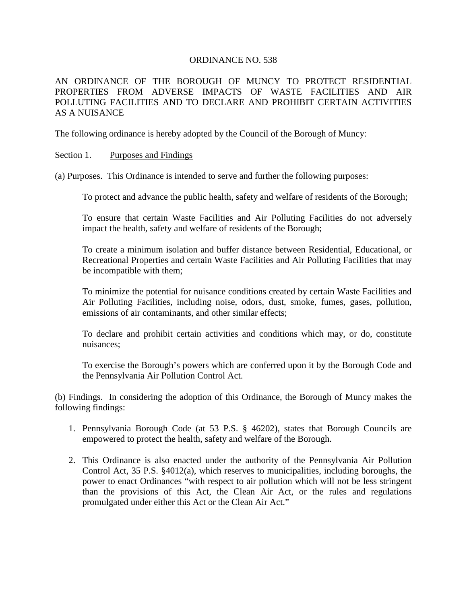#### ORDINANCE NO. 538

# AN ORDINANCE OF THE BOROUGH OF MUNCY TO PROTECT RESIDENTIAL PROPERTIES FROM ADVERSE IMPACTS OF WASTE FACILITIES AND AIR POLLUTING FACILITIES AND TO DECLARE AND PROHIBIT CERTAIN ACTIVITIES AS A NUISANCE

The following ordinance is hereby adopted by the Council of the Borough of Muncy:

### Section 1. Purposes and Findings

(a) Purposes. This Ordinance is intended to serve and further the following purposes:

To protect and advance the public health, safety and welfare of residents of the Borough;

To ensure that certain Waste Facilities and Air Polluting Facilities do not adversely impact the health, safety and welfare of residents of the Borough;

To create a minimum isolation and buffer distance between Residential, Educational, or Recreational Properties and certain Waste Facilities and Air Polluting Facilities that may be incompatible with them;

To minimize the potential for nuisance conditions created by certain Waste Facilities and Air Polluting Facilities, including noise, odors, dust, smoke, fumes, gases, pollution, emissions of air contaminants, and other similar effects;

To declare and prohibit certain activities and conditions which may, or do, constitute nuisances;

To exercise the Borough's powers which are conferred upon it by the Borough Code and the Pennsylvania Air Pollution Control Act.

(b) Findings. In considering the adoption of this Ordinance, the Borough of Muncy makes the following findings:

- 1. Pennsylvania Borough Code (at 53 P.S. § 46202), states that Borough Councils are empowered to protect the health, safety and welfare of the Borough.
- 2. This Ordinance is also enacted under the authority of the Pennsylvania Air Pollution Control Act, 35 P.S. §4012(a), which reserves to municipalities, including boroughs, the power to enact Ordinances "with respect to air pollution which will not be less stringent than the provisions of this Act, the Clean Air Act, or the rules and regulations promulgated under either this Act or the Clean Air Act."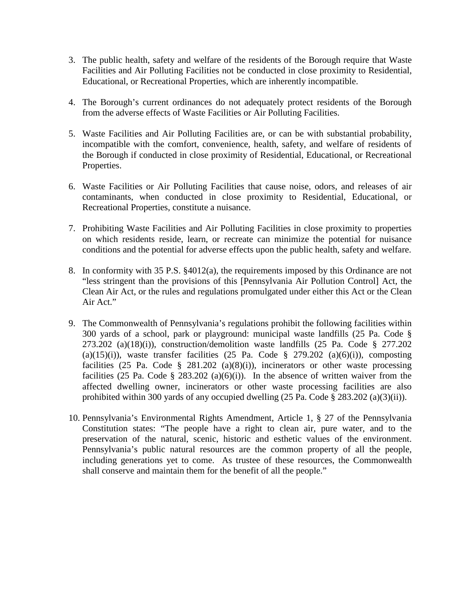- 3. The public health, safety and welfare of the residents of the Borough require that Waste Facilities and Air Polluting Facilities not be conducted in close proximity to Residential, Educational, or Recreational Properties, which are inherently incompatible.
- 4. The Borough's current ordinances do not adequately protect residents of the Borough from the adverse effects of Waste Facilities or Air Polluting Facilities.
- 5. Waste Facilities and Air Polluting Facilities are, or can be with substantial probability, incompatible with the comfort, convenience, health, safety, and welfare of residents of the Borough if conducted in close proximity of Residential, Educational, or Recreational Properties.
- 6. Waste Facilities or Air Polluting Facilities that cause noise, odors, and releases of air contaminants, when conducted in close proximity to Residential, Educational, or Recreational Properties, constitute a nuisance.
- 7. Prohibiting Waste Facilities and Air Polluting Facilities in close proximity to properties on which residents reside, learn, or recreate can minimize the potential for nuisance conditions and the potential for adverse effects upon the public health, safety and welfare.
- 8. In conformity with 35 P.S. §4012(a), the requirements imposed by this Ordinance are not "less stringent than the provisions of this [Pennsylvania Air Pollution Control] Act, the Clean Air Act, or the rules and regulations promulgated under either this Act or the Clean Air Act."
- 9. The Commonwealth of Pennsylvania's regulations prohibit the following facilities within 300 yards of a school, park or playground: municipal waste landfills (25 Pa. Code §  $273.202$  (a)(18)(i)), construction/demolition waste landfills (25 Pa. Code § 277.202 (a)(15)(i)), waste transfer facilities (25 Pa. Code  $\S$  279.202 (a)(6)(i)), composting facilities (25 Pa. Code § 281.202 (a)(8)(i)), incinerators or other waste processing facilities (25 Pa. Code § 283.202 (a)(6)(i)). In the absence of written waiver from the affected dwelling owner, incinerators or other waste processing facilities are also prohibited within 300 yards of any occupied dwelling (25 Pa. Code § 283.202 (a)(3)(ii)).
- 10. Pennsylvania's Environmental Rights Amendment, Article 1, § 27 of the Pennsylvania Constitution states: "The people have a right to clean air, pure water, and to the preservation of the natural, scenic, historic and esthetic values of the environment. Pennsylvania's public natural resources are the common property of all the people, including generations yet to come. As trustee of these resources, the Commonwealth shall conserve and maintain them for the benefit of all the people."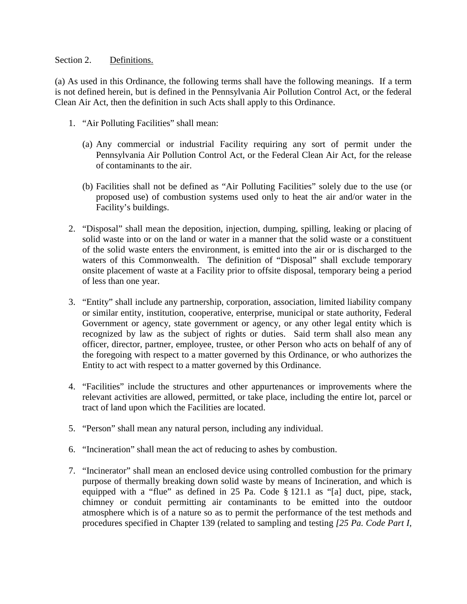### Section 2. Definitions.

(a) As used in this Ordinance, the following terms shall have the following meanings. If a term is not defined herein, but is defined in the Pennsylvania Air Pollution Control Act, or the federal Clean Air Act, then the definition in such Acts shall apply to this Ordinance.

- 1. "Air Polluting Facilities" shall mean:
	- (a) Any commercial or industrial Facility requiring any sort of permit under the Pennsylvania Air Pollution Control Act, or the Federal Clean Air Act, for the release of contaminants to the air.
	- (b) Facilities shall not be defined as "Air Polluting Facilities" solely due to the use (or proposed use) of combustion systems used only to heat the air and/or water in the Facility's buildings.
- 2. "Disposal" shall mean the deposition, injection, dumping, spilling, leaking or placing of solid waste into or on the land or water in a manner that the solid waste or a constituent of the solid waste enters the environment, is emitted into the air or is discharged to the waters of this Commonwealth. The definition of "Disposal" shall exclude temporary onsite placement of waste at a Facility prior to offsite disposal, temporary being a period of less than one year.
- 3. "Entity" shall include any partnership, corporation, association, limited liability company or similar entity, institution, cooperative, enterprise, municipal or state authority, Federal Government or agency, state government or agency, or any other legal entity which is recognized by law as the subject of rights or duties. Said term shall also mean any officer, director, partner, employee, trustee, or other Person who acts on behalf of any of the foregoing with respect to a matter governed by this Ordinance, or who authorizes the Entity to act with respect to a matter governed by this Ordinance.
- 4. "Facilities" include the structures and other appurtenances or improvements where the relevant activities are allowed, permitted, or take place, including the entire lot, parcel or tract of land upon which the Facilities are located.
- 5. "Person" shall mean any natural person, including any individual.
- 6. "Incineration" shall mean the act of reducing to ashes by combustion.
- 7. "Incinerator" shall mean an enclosed device using controlled combustion for the primary purpose of thermally breaking down solid waste by means of Incineration, and which is equipped with a "flue" as defined in 25 Pa. Code § 121.1 as "[a] duct, pipe, stack, chimney or conduit permitting air contaminants to be emitted into the outdoor atmosphere which is of a nature so as to permit the performance of the test methods and procedures specified in Chapter 139 (related to sampling and testing *[25 Pa. Code Part I,*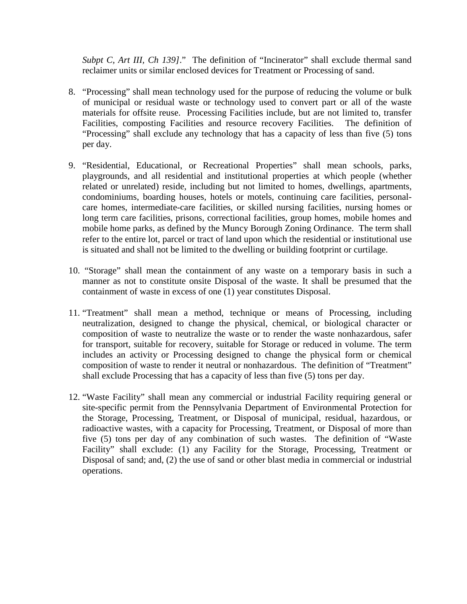*Subpt C, Art III, Ch 139]*." The definition of "Incinerator" shall exclude thermal sand reclaimer units or similar enclosed devices for Treatment or Processing of sand.

- 8. "Processing" shall mean technology used for the purpose of reducing the volume or bulk of municipal or residual waste or technology used to convert part or all of the waste materials for offsite reuse. Processing Facilities include, but are not limited to, transfer Facilities, composting Facilities and resource recovery Facilities. The definition of "Processing" shall exclude any technology that has a capacity of less than five (5) tons per day.
- 9. "Residential, Educational, or Recreational Properties" shall mean schools, parks, playgrounds, and all residential and institutional properties at which people (whether related or unrelated) reside, including but not limited to homes, dwellings, apartments, condominiums, boarding houses, hotels or motels, continuing care facilities, personalcare homes, intermediate-care facilities, or skilled nursing facilities, nursing homes or long term care facilities, prisons, correctional facilities, group homes, mobile homes and mobile home parks, as defined by the Muncy Borough Zoning Ordinance. The term shall refer to the entire lot, parcel or tract of land upon which the residential or institutional use is situated and shall not be limited to the dwelling or building footprint or curtilage.
- 10. "Storage" shall mean the containment of any waste on a temporary basis in such a manner as not to constitute onsite Disposal of the waste. It shall be presumed that the containment of waste in excess of one (1) year constitutes Disposal.
- 11. "Treatment" shall mean a method, technique or means of Processing, including neutralization, designed to change the physical, chemical, or biological character or composition of waste to neutralize the waste or to render the waste nonhazardous, safer for transport, suitable for recovery, suitable for Storage or reduced in volume. The term includes an activity or Processing designed to change the physical form or chemical composition of waste to render it neutral or nonhazardous. The definition of "Treatment" shall exclude Processing that has a capacity of less than five (5) tons per day.
- 12. "Waste Facility" shall mean any commercial or industrial Facility requiring general or site-specific permit from the Pennsylvania Department of Environmental Protection for the Storage, Processing, Treatment, or Disposal of municipal, residual, hazardous, or radioactive wastes, with a capacity for Processing, Treatment, or Disposal of more than five (5) tons per day of any combination of such wastes. The definition of "Waste Facility" shall exclude: (1) any Facility for the Storage, Processing, Treatment or Disposal of sand; and, (2) the use of sand or other blast media in commercial or industrial operations.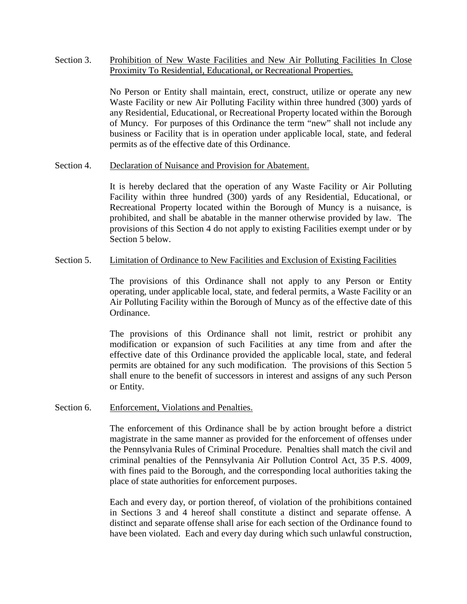Section 3. Prohibition of New Waste Facilities and New Air Polluting Facilities In Close Proximity To Residential, Educational, or Recreational Properties.

> No Person or Entity shall maintain, erect, construct, utilize or operate any new Waste Facility or new Air Polluting Facility within three hundred (300) yards of any Residential, Educational, or Recreational Property located within the Borough of Muncy. For purposes of this Ordinance the term "new" shall not include any business or Facility that is in operation under applicable local, state, and federal permits as of the effective date of this Ordinance.

Section 4. Declaration of Nuisance and Provision for Abatement.

It is hereby declared that the operation of any Waste Facility or Air Polluting Facility within three hundred (300) yards of any Residential, Educational, or Recreational Property located within the Borough of Muncy is a nuisance, is prohibited, and shall be abatable in the manner otherwise provided by law. The provisions of this Section 4 do not apply to existing Facilities exempt under or by Section 5 below.

# Section 5. Limitation of Ordinance to New Facilities and Exclusion of Existing Facilities

The provisions of this Ordinance shall not apply to any Person or Entity operating, under applicable local, state, and federal permits, a Waste Facility or an Air Polluting Facility within the Borough of Muncy as of the effective date of this Ordinance.

The provisions of this Ordinance shall not limit, restrict or prohibit any modification or expansion of such Facilities at any time from and after the effective date of this Ordinance provided the applicable local, state, and federal permits are obtained for any such modification. The provisions of this Section 5 shall enure to the benefit of successors in interest and assigns of any such Person or Entity.

# Section 6. Enforcement, Violations and Penalties.

The enforcement of this Ordinance shall be by action brought before a district magistrate in the same manner as provided for the enforcement of offenses under the Pennsylvania Rules of Criminal Procedure. Penalties shall match the civil and criminal penalties of the Pennsylvania Air Pollution Control Act, 35 P.S. 4009, with fines paid to the Borough, and the corresponding local authorities taking the place of state authorities for enforcement purposes.

Each and every day, or portion thereof, of violation of the prohibitions contained in Sections 3 and 4 hereof shall constitute a distinct and separate offense. A distinct and separate offense shall arise for each section of the Ordinance found to have been violated. Each and every day during which such unlawful construction,